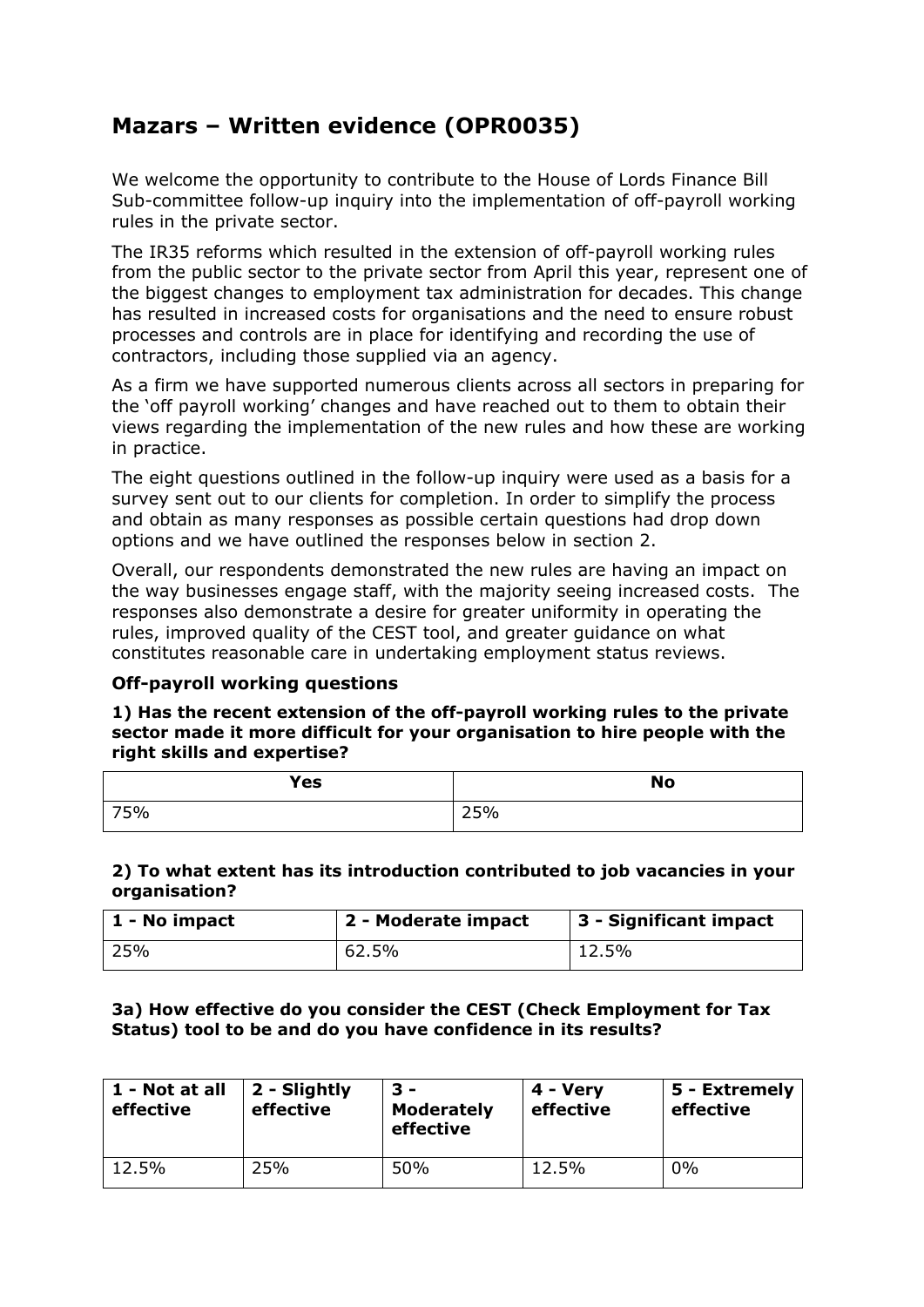# **Mazars – Written evidence (OPR0035)**

We welcome the opportunity to contribute to the House of Lords Finance Bill Sub-committee follow-up inquiry into the implementation of off-payroll working rules in the private sector.

The IR35 reforms which resulted in the extension of off-payroll working rules from the public sector to the private sector from April this year, represent one of the biggest changes to employment tax administration for decades. This change has resulted in increased costs for organisations and the need to ensure robust processes and controls are in place for identifying and recording the use of contractors, including those supplied via an agency.

As a firm we have supported numerous clients across all sectors in preparing for the 'off payroll working' changes and have reached out to them to obtain their views regarding the implementation of the new rules and how these are working in practice.

The eight questions outlined in the follow-up inquiry were used as a basis for a survey sent out to our clients for completion. In order to simplify the process and obtain as many responses as possible certain questions had drop down options and we have outlined the responses below in section 2.

Overall, our respondents demonstrated the new rules are having an impact on the way businesses engage staff, with the majority seeing increased costs. The responses also demonstrate a desire for greater uniformity in operating the rules, improved quality of the CEST tool, and greater guidance on what constitutes reasonable care in undertaking employment status reviews.

# **Off-payroll working questions**

**1) Has the recent extension of the off-payroll working rules to the private sector made it more difficult for your organisation to hire people with the right skills and expertise?**

| Yes | <b>No</b> |
|-----|-----------|
| 75% | 25%       |

#### **2) To what extent has its introduction contributed to job vacancies in your organisation?**

| 1 - No impact | 2 - Moderate impact | $\vert$ 3 - Significant impact |
|---------------|---------------------|--------------------------------|
| 25%           | 62.5%               | $\pm 12.5\%$                   |

#### **3a) How effective do you consider the CEST (Check Employment for Tax Status) tool to be and do you have confidence in its results?**

| 1 - Not at all<br>effective | 2 - Slightly<br>effective | 3 –<br><b>Moderately</b><br>effective | 4 - Very<br>effective | 5 - Extremely<br>effective |
|-----------------------------|---------------------------|---------------------------------------|-----------------------|----------------------------|
| 12.5%                       | 25%                       | 50%                                   | 12.5%                 | 0%                         |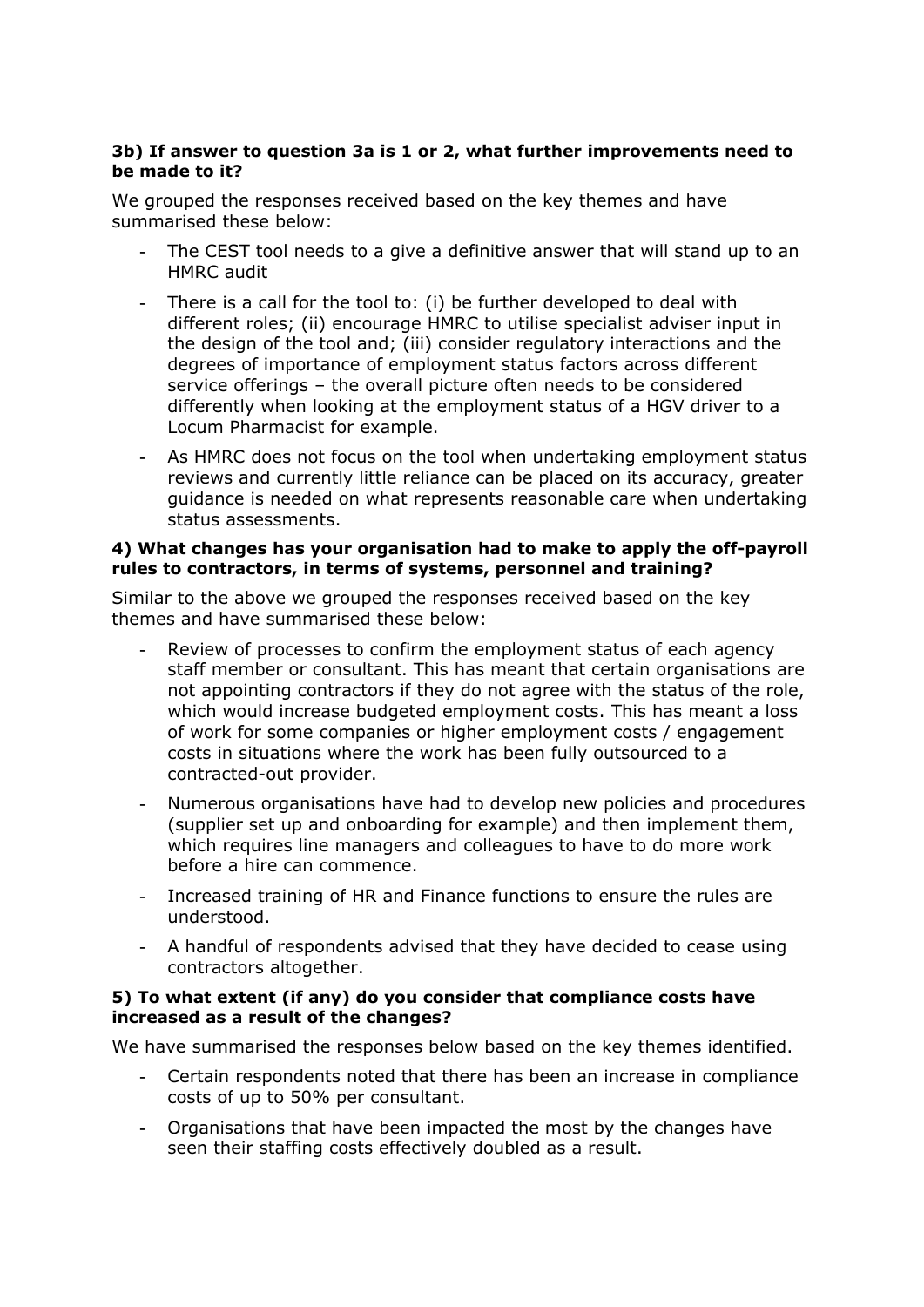# **3b) If answer to question 3a is 1 or 2, what further improvements need to be made to it?**

We grouped the responses received based on the key themes and have summarised these below:

- The CEST tool needs to a give a definitive answer that will stand up to an HMRC audit
- There is a call for the tool to: (i) be further developed to deal with different roles; (ii) encourage HMRC to utilise specialist adviser input in the design of the tool and; (iii) consider regulatory interactions and the degrees of importance of employment status factors across different service offerings – the overall picture often needs to be considered differently when looking at the employment status of a HGV driver to a Locum Pharmacist for example.
- As HMRC does not focus on the tool when undertaking employment status reviews and currently little reliance can be placed on its accuracy, greater guidance is needed on what represents reasonable care when undertaking status assessments.

# **4) What changes has your organisation had to make to apply the off-payroll rules to contractors, in terms of systems, personnel and training?**

Similar to the above we grouped the responses received based on the key themes and have summarised these below:

- Review of processes to confirm the employment status of each agency staff member or consultant. This has meant that certain organisations are not appointing contractors if they do not agree with the status of the role, which would increase budgeted employment costs. This has meant a loss of work for some companies or higher employment costs / engagement costs in situations where the work has been fully outsourced to a contracted-out provider.
- Numerous organisations have had to develop new policies and procedures (supplier set up and onboarding for example) and then implement them, which requires line managers and colleagues to have to do more work before a hire can commence.
- Increased training of HR and Finance functions to ensure the rules are understood.
- A handful of respondents advised that they have decided to cease using contractors altogether.

# **5) To what extent (if any) do you consider that compliance costs have increased as a result of the changes?**

We have summarised the responses below based on the key themes identified.

- Certain respondents noted that there has been an increase in compliance costs of up to 50% per consultant.
- Organisations that have been impacted the most by the changes have seen their staffing costs effectively doubled as a result.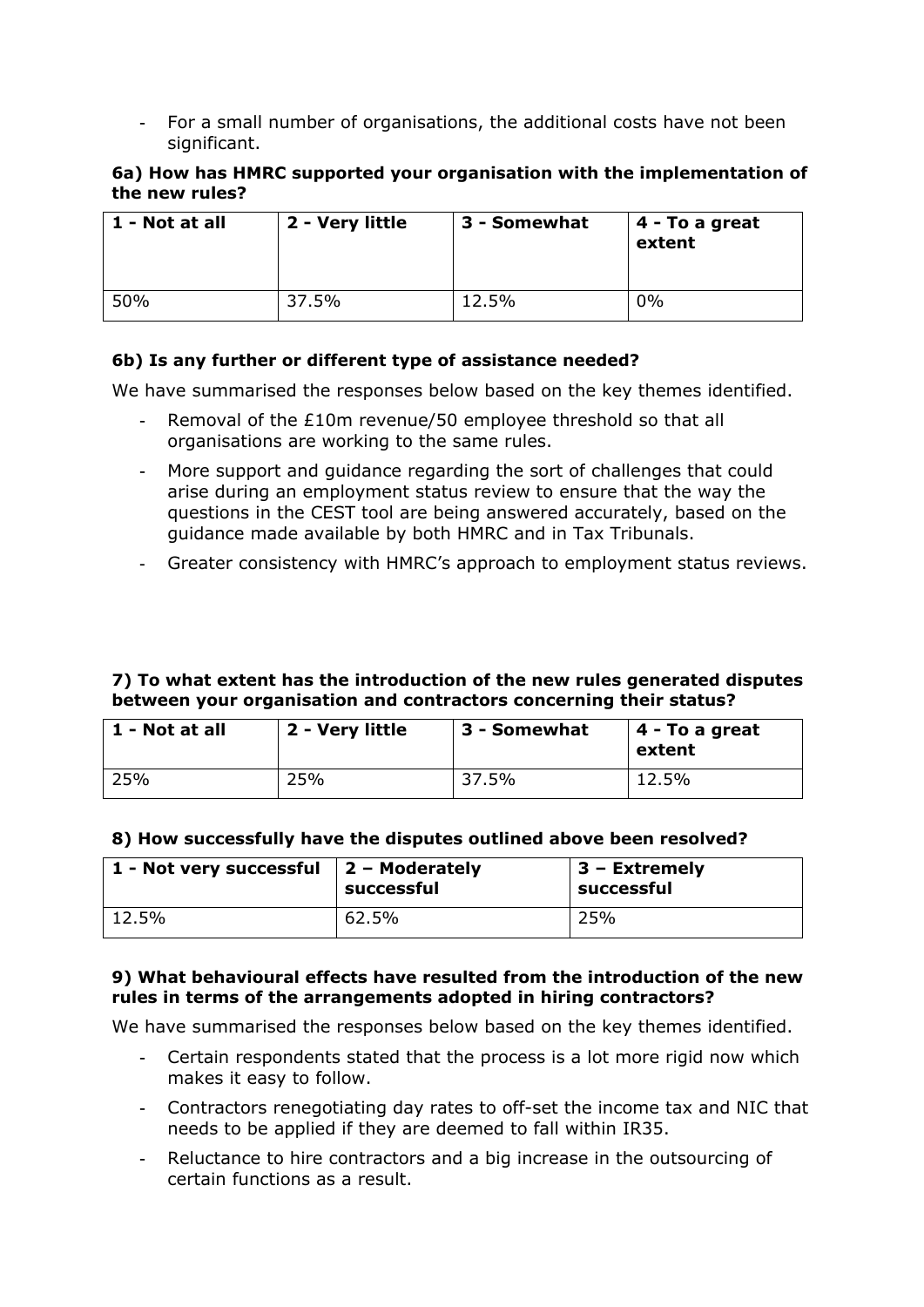- For a small number of organisations, the additional costs have not been significant.

#### **6a) How has HMRC supported your organisation with the implementation of the new rules?**

| 1 - Not at all | 2 - Very little | 3 - Somewhat | $\vert$ 4 - To a great<br>extent |
|----------------|-----------------|--------------|----------------------------------|
| 50%            | 37.5%           | 12.5%        | 0%                               |

# **6b) Is any further or different type of assistance needed?**

We have summarised the responses below based on the key themes identified.

- Removal of the £10m revenue/50 employee threshold so that all organisations are working to the same rules.
- More support and guidance regarding the sort of challenges that could arise during an employment status review to ensure that the way the questions in the CEST tool are being answered accurately, based on the guidance made available by both HMRC and in Tax Tribunals.
- Greater consistency with HMRC's approach to employment status reviews.

#### **7) To what extent has the introduction of the new rules generated disputes between your organisation and contractors concerning their status?**

| $1$ - Not at all | 2 - Very little | ∣ 3 - Somewhat | $\vert$ 4 - To a great<br>extent |
|------------------|-----------------|----------------|----------------------------------|
| 25%              | 25%             | 37.5%          | 12.5%                            |

#### **8) How successfully have the disputes outlined above been resolved?**

| 1 - Not very successful $\vert$ 2 – Moderately | successful | $\vert$ 3 – Extremely<br>successful |
|------------------------------------------------|------------|-------------------------------------|
| $12.5\%$                                       | 62.5%      | 25%                                 |

# **9) What behavioural effects have resulted from the introduction of the new rules in terms of the arrangements adopted in hiring contractors?**

We have summarised the responses below based on the key themes identified.

- Certain respondents stated that the process is a lot more rigid now which makes it easy to follow.
- Contractors renegotiating day rates to off-set the income tax and NIC that needs to be applied if they are deemed to fall within IR35.
- Reluctance to hire contractors and a big increase in the outsourcing of certain functions as a result.